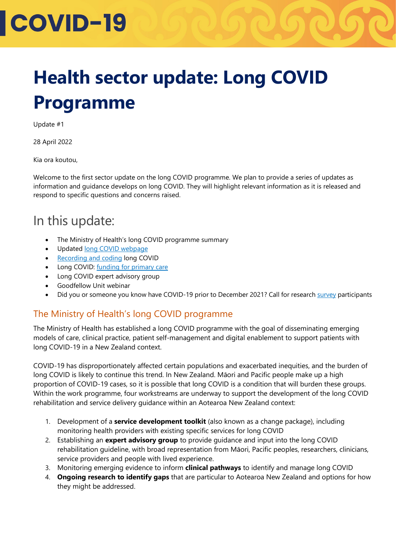# **COVID-19**

### **Health sector update: Long COVID Programme**

Update #1

28 April 2022

Kia ora koutou,

Welcome to the first sector update on the long COVID programme. We plan to provide a series of updates as information and guidance develops on long COVID. They will highlight relevant information as it is released and respond to specific questions and concerns raised.

### In this update:

- The Ministry of Health's long COVID programme summary
- Updated [long COVID webpage](https://www.health.govt.nz/covid-19-novel-coronavirus/covid-19-health-advice-public/about-covid-19/long-covid#understand)
- [Recording and coding](https://www.health.govt.nz/covid-19-novel-coronavirus/covid-19-information-health-professionals/recording-covid-19) long COVID
- Long COVID: [funding for primary care](https://www.health.govt.nz/covid-19-novel-coronavirus/covid-19-information-health-professionals/covid-19-primary-care/long-covid-funding-primary-care)
- Long COVID expert advisory group
- Goodfellow Unit webinar
- Did you or someone you know have COVID-19 prior to December 2021? Call for research [survey](https://covidaotearoa.com/) participants

#### The Ministry of Health's long COVID programme

The Ministry of Health has established a long COVID programme with the goal of disseminating emerging models of care, clinical practice, patient self-management and digital enablement to support patients with long COVID-19 in a New Zealand context.

COVID-19 has disproportionately affected certain populations and exacerbated inequities, and the burden of long COVID is likely to continue this trend. In New Zealand. Māori and Pacific people make up a high proportion of COVID-19 cases, so it is possible that long COVID is a condition that will burden these groups. Within the work programme, four workstreams are underway to support the development of the long COVID rehabilitation and service delivery guidance within an Aotearoa New Zealand context:

- 1. Development of a **service development toolkit** (also known as a change package), including monitoring health providers with existing specific services for long COVID
- 2. Establishing an **expert advisory group** to provide guidance and input into the long COVID rehabilitation guideline, with broad representation from Māori, Pacific peoples, researchers, clinicians, service providers and people with lived experience.
- 3. Monitoring emerging evidence to inform **clinical pathways** to identify and manage long COVID
- 4. **Ongoing research to identify gaps** that are particular to Aotearoa New Zealand and options for how they might be addressed.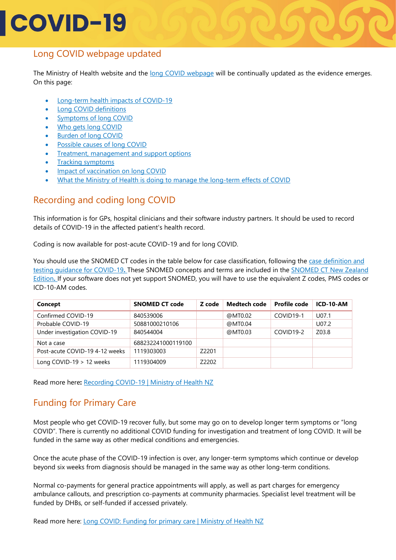## **COVID-19**

#### Long COVID webpage updated

The Ministry of Health website and the [long COVID webpage](https://www.health.govt.nz/covid-19-novel-coronavirus/covid-19-health-advice-public/about-covid-19/long-covid#understand) will be continually updated as the evidence emerges. On this page:

- [Long-term health impacts of COVID-19](https://www.health.govt.nz/covid-19-novel-coronavirus/covid-19-health-advice-public/about-covid-19/long-covid#impacts)
- [Long COVID definitions](https://www.health.govt.nz/covid-19-novel-coronavirus/covid-19-health-advice-public/about-covid-19/long-covid#definitions)
- [Symptoms of long COVID](https://www.health.govt.nz/covid-19-novel-coronavirus/covid-19-health-advice-public/about-covid-19/long-covid#symptoms)
- [Who gets long COVID](https://www.health.govt.nz/covid-19-novel-coronavirus/covid-19-health-advice-public/about-covid-19/long-covid#who-gets)
- **[Burden of long COVID](https://www.health.govt.nz/covid-19-novel-coronavirus/covid-19-health-advice-public/about-covid-19/long-covid#burden)**
- [Possible causes of long COVID](https://www.health.govt.nz/covid-19-novel-coronavirus/covid-19-health-advice-public/about-covid-19/long-covid#causes)
- [Treatment, management and support options](https://www.health.govt.nz/covid-19-novel-coronavirus/covid-19-health-advice-public/about-covid-19/long-covid#treatment)
- [Tracking symptoms](https://www.health.govt.nz/covid-19-novel-coronavirus/covid-19-health-advice-public/about-covid-19/long-covid#tracking)
- [Impact of vaccination on long COVID](https://www.health.govt.nz/covid-19-novel-coronavirus/covid-19-health-advice-public/about-covid-19/long-covid#vaccination)
- What the Ministry of Health is doing [to manage the long-term effects of COVID](https://www.health.govt.nz/covid-19-novel-coronavirus/covid-19-health-advice-public/about-covid-19/long-covid#understand)

#### Recording and coding long COVID

This information is for GPs, hospital clinicians and their software industry partners. It should be used to record details of COVID-19 in the affected patient's health record.

Coding is now available for post-acute COVID-19 and for long COVID.

You should use the SNOMED CT codes in the table below for case classification, following the [case definition and](https://www.health.govt.nz/covid-19-novel-coronavirus/covid-19-information-health-professionals/case-definition-and-clinical-testing-guidelines-covid-19)  [testing guidance for COVID-19](https://www.health.govt.nz/covid-19-novel-coronavirus/covid-19-information-health-professionals/case-definition-and-clinical-testing-guidelines-covid-19)**.** These SNOMED concepts and terms are included in the [SNOMED CT New Zealand](https://www.health.govt.nz/nz-health-statistics/classification-and-terminology/new-zealand-snomed-ct-national-release-centre/snomed-ct-subsets-and-maps)  [Edition](https://www.health.govt.nz/nz-health-statistics/classification-and-terminology/new-zealand-snomed-ct-national-release-centre/snomed-ct-subsets-and-maps)**.** If your software does not yet support SNOMED, you will have to use the equivalent Z codes, PMS codes or ICD-10-AM codes.

| Concept                        | <b>SNOMED CT code</b> | Z code | <b>Medtech code</b> | <b>Profile code</b> | ICD-10-AM |
|--------------------------------|-----------------------|--------|---------------------|---------------------|-----------|
| Confirmed COVID-19             | 840539006             |        | @MT0.02             | COVID19-1           | U07.1     |
| Probable COVID-19              | 50881000210106        |        | @MT0.04             |                     | U07.2     |
| Under investigation COVID-19   | 840544004             |        | @MT0.03             | COVID19-2           | Z03.8     |
| Not a case                     | 688232241000119100    |        |                     |                     |           |
| Post-acute COVID-19 4-12 weeks | 1119303003            | Z2201  |                     |                     |           |
| Long COVID-19 $>$ 12 weeks     | 1119304009            | Z2202  |                     |                     |           |

Read more here**:** [Recording COVID-19 | Ministry of Health NZ](https://www.health.govt.nz/covid-19-novel-coronavirus/covid-19-information-health-professionals/recording-covid-19)

#### Funding for Primary Care

Most people who get COVID-19 recover fully, but some may go on to develop longer term symptoms or "long COVID". There is currently no additional COVID funding for investigation and treatment of long COVID. It will be funded in the same way as other medical conditions and emergencies.

Once the acute phase of the COVID-19 infection is over, any longer-term symptoms which continue or develop beyond six weeks from diagnosis should be managed in the same way as other long-term conditions.

Normal co-payments for general practice appointments will apply, as well as part charges for emergency ambulance callouts, and prescription co-payments at community pharmacies. Specialist level treatment will be funded by DHBs, or self-funded if accessed privately.

Read more here: [Long COVID: Funding for primary care | Ministry of Health NZ](https://www.health.govt.nz/covid-19-novel-coronavirus/covid-19-information-health-professionals/covid-19-primary-care/long-covid-funding-primary-care)